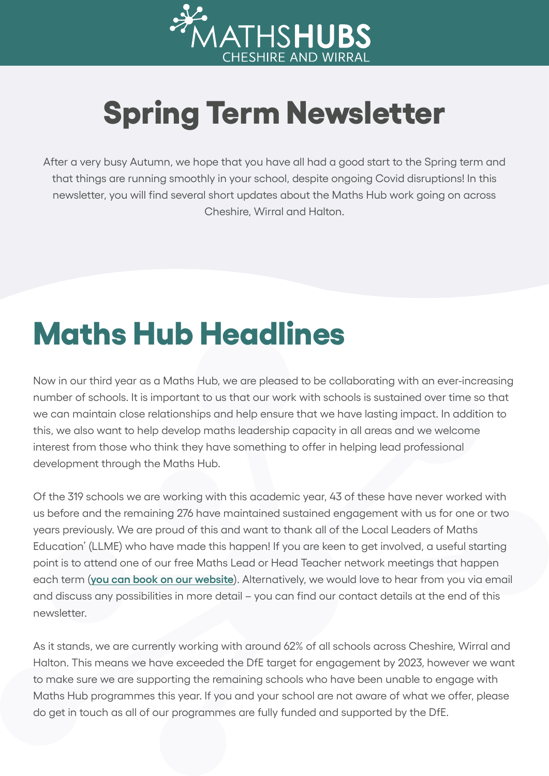

## **Spring Term Newsletter**

After a very busy Autumn, we hope that you have all had a good start to the Spring term and that things are running smoothly in your school, despite ongoing Covid disruptions! In this newsletter, you will find several short updates about the Maths Hub work going on across Cheshire, Wirral and Halton.

### **Maths Hub Headlines**

Now in our third year as a Maths Hub, we are pleased to be collaborating with an ever-increasing number of schools. It is important to us that our work with schools is sustained over time so that we can maintain close relationships and help ensure that we have lasting impact. In addition to this, we also want to help develop maths leadership capacity in all areas and we welcome interest from those who think they have something to offer in helping lead professional development through the Maths Hub.

Of the 319 schools we are working with this academic year, 43 of these have never worked with us before and the remaining 276 have maintained sustained engagement with us for one or two years previously. We are proud of this and want to thank all of the Local Leaders of Maths Education' (LLME) who have made this happen! If you are keen to get involved, a useful starting point is to attend one of our free Maths Lead or Head Teacher network meetings that happen each term (**[you can book on our website](https://cheshireandwirralmathshub.co.uk/get-involved/events/)**). Alternatively, we would love to hear from you via email and discuss any possibilities in more detail – you can find our contact details at the end of this newsletter.

As it stands, we are currently working with around 62% of all schools across Cheshire, Wirral and Halton. This means we have exceeded the DfE target for engagement by 2023, however we want to make sure we are supporting the remaining schools who have been unable to engage with Maths Hub programmes this year. If you and your school are not aware of what we offer, please do get in touch as all of our programmes are fully funded and supported by the DfE.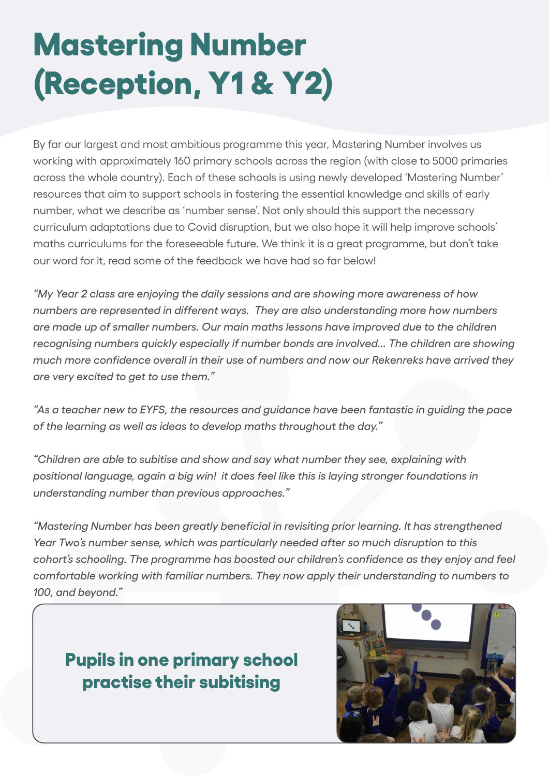# **Mastering Number (Reception, Y1 & Y2)**

By far our largest and most ambitious programme this year, Mastering Number involves us working with approximately 160 primary schools across the region (with close to 5000 primaries across the whole country). Each of these schools is using newly developed 'Mastering Number' resources that aim to support schools in fostering the essential knowledge and skills of early number, what we describe as 'number sense'. Not only should this support the necessary curriculum adaptations due to Covid disruption, but we also hope it will help improve schools' maths curriculums for the foreseeable future. We think it is a great programme, but don't take our word for it, read some of the feedback we have had so far below!

*"My Year 2 class are enjoying the daily sessions and are showing more awareness of how numbers are represented in different ways. They are also understanding more how numbers are made up of smaller numbers. Our main maths lessons have improved due to the children recognising numbers quickly especially if number bonds are involved... The children are showing much more confidence overall in their use of numbers and now our Rekenreks have arrived they are very excited to get to use them."*

*"As a teacher new to EYFS, the resources and guidance have been fantastic in guiding the pace of the learning as well as ideas to develop maths throughout the day."*

*"Children are able to subitise and show and say what number they see, explaining with positional language, again a big win! it does feel like this is laying stronger foundations in understanding number than previous approaches."*

*"Mastering Number has been greatly beneficial in revisiting prior learning. It has strengthened Year Two's number sense, which was particularly needed after so much disruption to this cohort's schooling. The programme has boosted our children's confidence as they enjoy and feel comfortable working with familiar numbers. They now apply their understanding to numbers to 100, and beyond."*

#### **Pupils in one primary school practise their subitising**

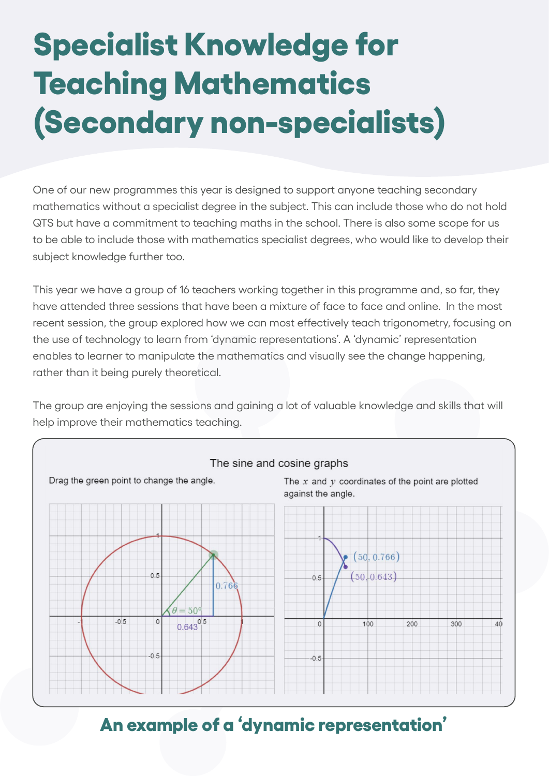## **Specialist Knowledge for Teaching Mathematics (Secondary non-specialists)**

One of our new programmes this year is designed to support anyone teaching secondary mathematics without a specialist degree in the subject. This can include those who do not hold QTS but have a commitment to teaching maths in the school. There is also some scope for us to be able to include those with mathematics specialist degrees, who would like to develop their subject knowledge further too.

This year we have a group of 16 teachers working together in this programme and, so far, they have attended three sessions that have been a mixture of face to face and online. In the most recent session, the group explored how we can most effectively teach trigonometry, focusing on the use of technology to learn from 'dynamic representations'. A 'dynamic' representation enables to learner to manipulate the mathematics and visually see the change happening, rather than it being purely theoretical.

The group are enjoying the sessions and gaining a lot of valuable knowledge and skills that will help improve their mathematics teaching.



#### **An example of a 'dynamic representation'**